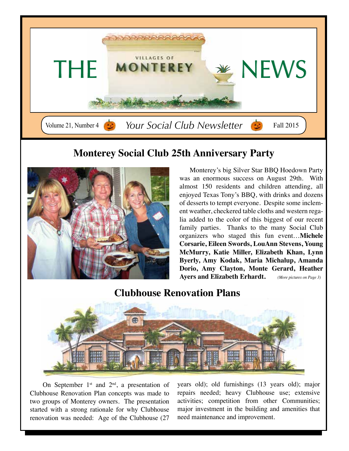

## **Monterey Social Club 25th Anniversary Party**



Monterey's big Silver Star BBQ Hoedown Party was an enormous success on August 29th. With almost 150 residents and children attending, all enjoyed Texas Tony's BBQ, with drinks and dozens of desserts to tempt everyone. Despite some inclement weather, checkered table cloths and western regalia added to the color of this biggest of our recent family parties. Thanks to the many Social Club organizers who staged this fun event…**Michele Corsarie, Eileen Swords, LouAnn Stevens, Young McMurry, Katie Miller, Elizabeth Khan, Lynn Byerly, Amy Kodak, Maria Michalup, Amanda Dorio, Amy Clayton, Monte Gerard, Heather Ayers and Elizabeth Erhardt.** *(More pictures on Page 3)*

## **Clubhouse Renovation Plans**



On September  $1<sup>st</sup>$  and  $2<sup>nd</sup>$ , a presentation of Clubhouse Renovation Plan concepts was made to two groups of Monterey owners. The presentation started with a strong rationale for why Clubhouse renovation was needed: Age of the Clubhouse (27

years old); old furnishings (13 years old); major repairs needed; heavy Clubhouse use; extensive activities; competition from other Communities; major investment in the building and amenities that need maintenance and improvement.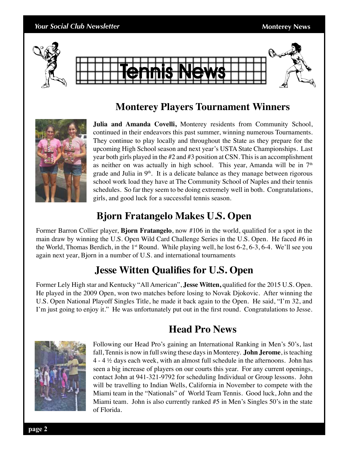# *Your Social Club Newsletter* **Monterey News Monterey News** Tennis News

## **Monterey Players Tournament Winners**



**Julia and Amanda Covelli,** Monterey residents from Community School, continued in their endeavors this past summer, winning numerous Tournaments. They continue to play locally and throughout the State as they prepare for the upcoming High School season and next year's USTA State Championships. Last year both girls played in the #2 and #3 position at CSN. This is an accomplishment as neither on was actually in high school. This year, Amanda will be in  $7<sup>th</sup>$ grade and Julia in  $9<sup>th</sup>$ . It is a delicate balance as they manage between rigorous school work load they have at The Community School of Naples and their tennis schedules. So far they seem to be doing extremely well in both. Congratulations, girls, and good luck for a successful tennis season.

# **Bjorn Fratangelo Makes U.S. Open**

Former Barron Collier player, **Bjorn Fratangelo**, now #106 in the world, qualified for a spot in the main draw by winning the U.S. Open Wild Card Challenge Series in the U.S. Open. He faced #6 in the World, Thomas Berdich, in the 1<sup>st</sup> Round. While playing well, he lost  $6-2$ ,  $6-3$ ,  $6-4$ . We'll see you again next year, Bjorn in a number of U.S. and international tournaments

## **Jesse Witten Qualifies for U.S. Open**

Former Lely High star and Kentucky "All American", **Jesse Witten,** qualified for the 2015 U.S. Open. He played in the 2009 Open, won two matches before losing to Novak Djokovic. After winning the U.S. Open National Playoff Singles Title, he made it back again to the Open. He said, "I'm 32, and I'm just going to enjoy it." He was unfortunately put out in the first round. Congratulations to Jesse.

## **Head Pro News**



Following our Head Pro's gaining an International Ranking in Men's 50's, last fall, Tennis is now in full swing these days in Monterey. **John Jerome**, is teaching 4 - 4  $\frac{1}{2}$  days each week, with an almost full schedule in the afternoons. John has seen a big increase of players on our courts this year. For any current openings, contact John at 941-321-9792 for scheduling Individual or Group lessons. John will be travelling to Indian Wells, California in November to compete with the Miami team in the "Nationals" of World Team Tennis. Good luck, John and the Miami team. John is also currently ranked #5 in Men's Singles 50's in the state of Florida.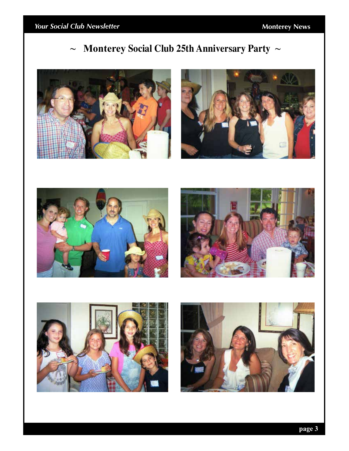# **~ Monterey Social Club 25th Anniversary Party ~**









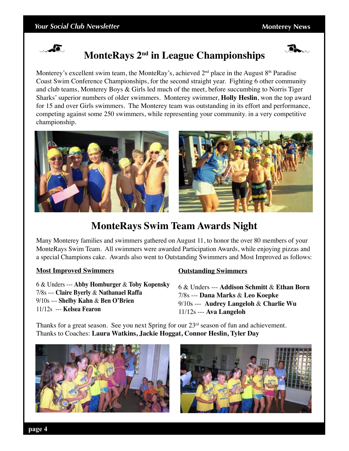



# **MonteRays 2nd in League Championships**

Monterey's excellent swim team, the MonteRay's, achieved  $2<sup>nd</sup>$  place in the August  $8<sup>th</sup>$  Paradise Coast Swim Conference Championships, for the second straight year. Fighting 6 other community and club teams, Monterey Boys & Girls led much of the meet, before succumbing to Norris Tiger Sharks' superior numbers of older swimmers. Monterey swimmer, **Holly Heslin**, won the top award for 15 and over Girls swimmers. The Monterey team was outstanding in its effort and performance, competing against some 250 swimmers, while representing your community. in a very competitive championship.



## **MonteRays Swim Team Awards Night**

Many Monterey families and swimmers gathered on August 11, to honor the over 80 members of your MonteRays Swim Team. All swimmers were awarded Participation Awards, while enjoying pizzas and a special Champions cake. Awards also went to Outstanding Swimmers and Most Improved as follows:

#### **Most Improved Swimmers**

6 & Unders --- **Abby Homburger** & **Toby Kopensky** 7/8s --- **Claire Byerly** & **Nathanael Raffa** 9/10s --- **Shelby Kahn** & **Ben O'Brien** 11/12s --- **Kelsea Fearon**

#### **Outstanding Swimmers**

6 & Unders --- **Addison Schmitt** & **Ethan Born** 7/8s --- **Dana Marks** & **Leo Koepke** 9/10s --- **Audrey Langeloh** & **Charlie Wu** 11/12s --- **Ava Langeloh**

Thanks for a great season. See you next Spring for our  $23<sup>rd</sup>$  season of fun and achievement. Thanks to Coaches: **Laura Watkins, Jackie Hoggat, Connor Heslin, Tyler Day**



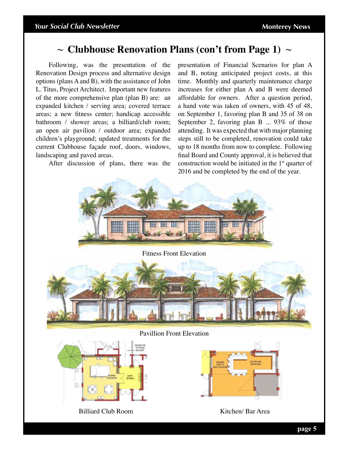## **~ Clubhouse Renovation Plans (con't from Page 1) ~**

Following, was the presentation of the Renovation Design process and alternative design options (plans A and B), with the assistance of John L. Titus, Project Architect. Important new features of the more comprehensive plan (plan B) are: an expanded kitchen / serving area; covered terrace areas; a new fitness center; handicap accessible bathroom / shower areas; a billiard/club room; an open air pavilion / outdoor area; expanded children's playground; updated treatments for the current Clubhouse façade roof, doors, windows, landscaping and paved areas.

After discussion of plans, there was the

presentation of Financial Scenarios for plan A and B, noting anticipated project costs, at this time. Monthly and quarterly maintenance charge increases for either plan A and B were deemed affordable for owners. After a question period, a hand vote was taken of owners, with 45 of 48, on September 1, favoring plan B and 35 of 38 on September 2, favoring plan B ... 93% of those attending. It was expected that with major planning steps still to be completed, renovation could take up to 18 months from now to complete. Following final Board and County approval, it is believed that construction would be initiated in the  $1<sup>st</sup>$  quarter of 2016 and be completed by the end of the year.

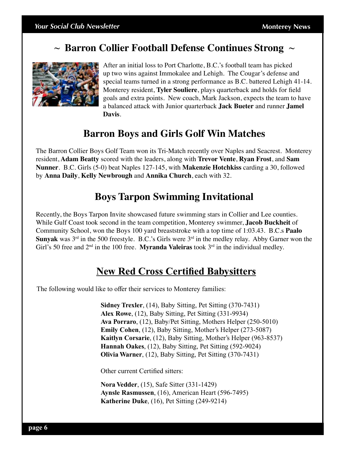## **~ Barron Collier Football Defense Continues Strong ~**



After an initial loss to Port Charlotte, B.C.'s football team has picked up two wins against Immokalee and Lehigh. The Cougar's defense and special teams turned in a strong performance as B.C. battered Lehigh 41-14. Monterey resident, **Tyler Souliere**, plays quarterback and holds for field goals and extra points. New coach, Mark Jackson, expects the team to have a balanced attack with Junior quarterback **Jack Bueter** and runner **Jamel Davis**.

## **Barron Boys and Girls Golf Win Matches**

The Barron Collier Boys Golf Team won its Tri-Match recently over Naples and Seacrest. Monterey resident, **Adam Beatty** scored with the leaders, along with **Trevor Vente**, **Ryan Frost**, and **Sam Nunner**. B.C. Girls (5-0) beat Naples 127-145, with **Makenzie Hotchkiss** carding a 30, followed by **Anna Daily**, **Kelly Newbrough** and **Annika Church**, each with 32.

## **Boys Tarpon Swimming Invitational**

Recently, the Boys Tarpon Invite showcased future swimming stars in Collier and Lee counties. While Gulf Coast took second in the team competition, Monterey swimmer, **Jacob Buckheit** of Community School, won the Boys 100 yard breaststroke with a top time of 1:03.43. B.C.s **Paalo Sunyak** was  $3^{rd}$  in the 500 freestyle. B.C.'s Girls were  $3^{rd}$  in the medley relay. Abby Garner won the Girl's 50 free and 2<sup>nd</sup> in the 100 free. **Myranda Valeiras** took 3<sup>rd</sup> in the individual medley.

## **New Red Cross Certified Babysitters**

The following would like to offer their services to Monterey families:

**Sidney Trexler**, (14), Baby Sitting, Pet Sitting (370-7431) **Alex Rowe**, (12), Baby Sitting, Pet Sitting (331-9934) **Ava Porraro**, (12), Baby/Pet Sitting, Mothers Helper (250-5010) **Emily Cohen**, (12), Baby Sitting, Mother's Helper (273-5087) **Kaitlyn Corsarie**, (12), Baby Sitting, Mother's Helper (963-8537) **Hannah Oakes**, (12), Baby Sitting, Pet Sitting (592-9024) **Olivia Warner**, (12), Baby Sitting, Pet Sitting (370-7431)

Other current Certified sitters:

**Nora Vedder**, (15), Safe Sitter (331-1429) **Aynsle Rasmussen**, (16), American Heart (596-7495) **Katherine Duke**, (16), Pet Sitting (249-9214)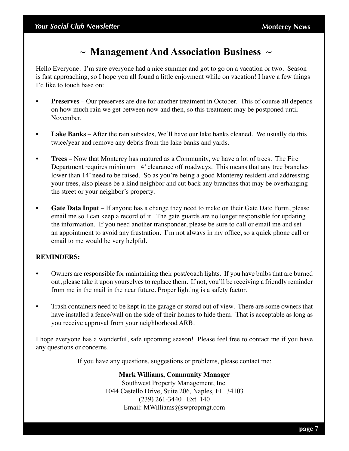## **~ Management And Association Business ~**

Hello Everyone. I'm sure everyone had a nice summer and got to go on a vacation or two. Season is fast approaching, so I hope you all found a little enjoyment while on vacation! I have a few things I'd like to touch base on:

- **Preserves** Our preserves are due for another treatment in October. This of course all depends on how much rain we get between now and then, so this treatment may be postponed until November.
- **Lake Banks** After the rain subsides, We'll have our lake banks cleaned. We usually do this twice/year and remove any debris from the lake banks and yards.
- **Trees** Now that Monterey has matured as a Community, we have a lot of trees. The Fire Department requires minimum 14' clearance off roadways. This means that any tree branches lower than 14' need to be raised. So as you're being a good Monterey resident and addressing your trees, also please be a kind neighbor and cut back any branches that may be overhanging the street or your neighbor's property.
- **Gate Data Input** If anyone has a change they need to make on their Gate Date Form, please email me so I can keep a record of it. The gate guards are no longer responsible for updating the information. If you need another transponder, please be sure to call or email me and set an appointment to avoid any frustration. I'm not always in my office, so a quick phone call or email to me would be very helpful.

#### **REMINDERS:**

- Owners are responsible for maintaining their post/coach lights. If you have bulbs that are burned out, please take it upon yourselves to replace them. If not, you'll be receiving a friendly reminder from me in the mail in the near future. Proper lighting is a safety factor.
- Trash containers need to be kept in the garage or stored out of view. There are some owners that have installed a fence/wall on the side of their homes to hide them. That is acceptable as long as you receive approval from your neighborhood ARB.

I hope everyone has a wonderful, safe upcoming season! Please feel free to contact me if you have any questions or concerns.

If you have any questions, suggestions or problems, please contact me:

**Mark Williams, Community Manager** Southwest Property Management, Inc. 1044 Castello Drive, Suite 206, Naples, FL 34103 (239) 261-3440 Ext. 140 Email: MWilliams@swpropmgt.com